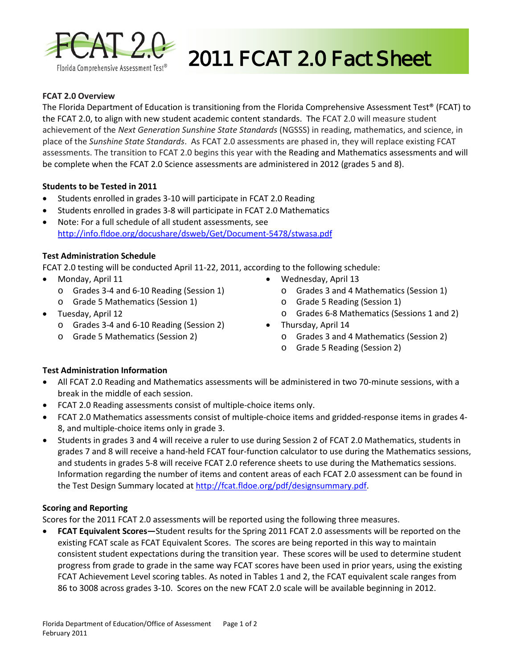

# 2011 FCAT 2.0 Fact Sheet

### **FCAT 2.0 Overview**

The Florida Department of Education is transitioning from the Florida Comprehensive Assessment Test® (FCAT) to the FCAT 2.0, to align with new student academic content standards. The FCAT 2.0 will measure student achievement of the *Next Generation Sunshine State Standards* (NGSSS) in reading, mathematics, and science, in place of the *Sunshine State Standards*. As FCAT 2.0 assessments are phased in, they will replace existing FCAT assessments. The transition to FCAT 2.0 begins this year with the Reading and Mathematics assessments and will be complete when the FCAT 2.0 Science assessments are administered in 2012 (grades 5 and 8).

### **Students to be Tested in 2011**

- Students enrolled in grades 3-10 will participate in FCAT 2.0 Reading
- Students enrolled in grades 3-8 will participate in FCAT 2.0 Mathematics
- Note: For a full schedule of all student assessments, see <http://info.fldoe.org/docushare/dsweb/Get/Document-5478/stwasa.pdf>

### **Test Administration Schedule**

FCAT 2.0 testing will be conducted April 11-22, 2011, according to the following schedule:

- Monday, April 11
	- o Grades 3-4 and 6-10 Reading (Session 1)
	- o Grade 5 Mathematics (Session 1)
- Tuesday, April 12
	- o Grades 3-4 and 6-10 Reading (Session 2)
	- o Grade 5 Mathematics (Session 2)
- Wednesday, April 13
	- o Grades 3 and 4 Mathematics (Session 1)
	- o Grade 5 Reading (Session 1)
	- o Grades 6-8 Mathematics (Sessions 1 and 2)
- Thursday, April 14
	- o Grades 3 and 4 Mathematics (Session 2)
	- o Grade 5 Reading (Session 2)

### **Test Administration Information**

- All FCAT 2.0 Reading and Mathematics assessments will be administered in two 70-minute sessions, with a break in the middle of each session.
- FCAT 2.0 Reading assessments consist of multiple-choice items only.
- FCAT 2.0 Mathematics assessments consist of multiple-choice items and gridded-response items in grades 4- 8, and multiple-choice items only in grade 3.
- Students in grades 3 and 4 will receive a ruler to use during Session 2 of FCAT 2.0 Mathematics, students in grades 7 and 8 will receive a hand-held FCAT four-function calculator to use during the Mathematics sessions, and students in grades 5-8 will receive FCAT 2.0 reference sheets to use during the Mathematics sessions. Information regarding the number of items and content areas of each FCAT 2.0 assessment can be found in the Test Design Summary located a[t http://fcat.fldoe.org/pdf/designsummary.pdf.](http://fcat.fldoe.org/pdf/designsummary.pdf)

### **Scoring and Reporting**

Scores for the 2011 FCAT 2.0 assessments will be reported using the following three measures.

• **FCAT Equivalent Scores―**Student results for the Spring 2011 FCAT 2.0 assessments will be reported on the existing FCAT scale as FCAT Equivalent Scores. The scores are being reported in this way to maintain consistent student expectations during the transition year. These scores will be used to determine student progress from grade to grade in the same way FCAT scores have been used in prior years, using the existing FCAT Achievement Level scoring tables. As noted in Tables 1 and 2, the FCAT equivalent scale ranges from 86 to 3008 across grades 3-10. Scores on the new FCAT 2.0 scale will be available beginning in 2012.